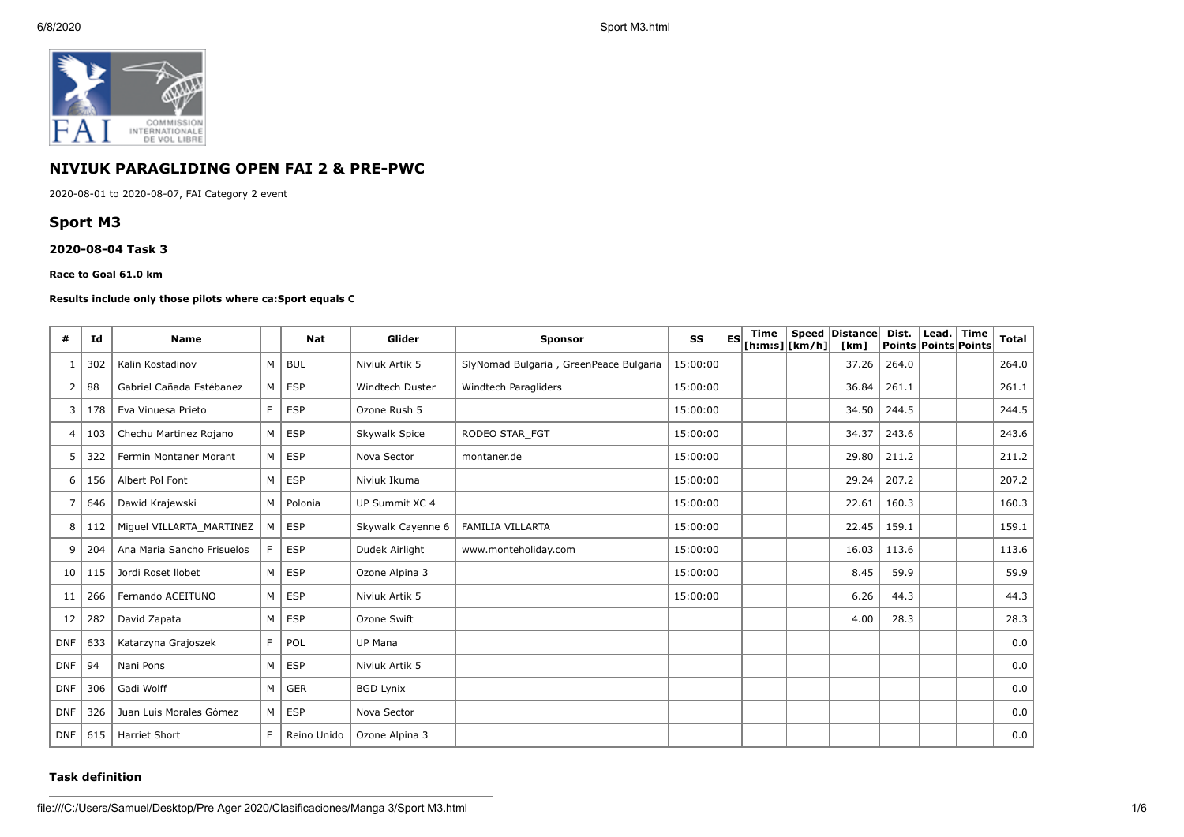

# **NIVIUK PARAGLIDING OPEN FAI 2 & PRE-PWC**

2020-08-01 to 2020-08-07, FAI Category 2 event

# **Sport M3**

### **2020-08-04 Task 3**

### **Race to Goal 61.0 km**

### **Results include only those pilots where ca:Sport equals C**

| #              | Id  | <b>Name</b>                |    | <b>Nat</b>  | Glider                 | <b>Sponsor</b>                         | SS       | <b>IES</b> | Time<br>$[$ h:m:s] $ $ [km/h] $ $ | Speed Distance<br>[km] | Dist.<br><b>Points Points Points</b> | Lead. | <b>Time</b> | <b>Total</b> |
|----------------|-----|----------------------------|----|-------------|------------------------|----------------------------------------|----------|------------|-----------------------------------|------------------------|--------------------------------------|-------|-------------|--------------|
|                | 302 | Kalin Kostadinov           | M  | <b>BUL</b>  | Niviuk Artik 5         | SlyNomad Bulgaria, GreenPeace Bulgaria | 15:00:00 |            |                                   | 37.26                  | 264.0                                |       |             | 264.0        |
| 2              | 88  | Gabriel Cañada Estébanez   | м  | <b>ESP</b>  | <b>Windtech Duster</b> | Windtech Paragliders                   | 15:00:00 |            |                                   | 36.84                  | 261.1                                |       |             | 261.1        |
| 3              | 178 | Eva Vinuesa Prieto         | F. | <b>ESP</b>  | Ozone Rush 5           |                                        | 15:00:00 |            |                                   | 34.50                  | 244.5                                |       |             | 244.5        |
| $\overline{4}$ | 103 | Chechu Martinez Rojano     | M  | <b>ESP</b>  | Skywalk Spice          | RODEO STAR FGT                         | 15:00:00 |            |                                   | 34.37                  | 243.6                                |       |             | 243.6        |
| 5              | 322 | Fermin Montaner Morant     | M  | <b>ESP</b>  | Nova Sector            | montaner.de                            | 15:00:00 |            |                                   | 29.80                  | 211.2                                |       |             | 211.2        |
| 6              | 156 | Albert Pol Font            | M  | <b>ESP</b>  | Niviuk Ikuma           |                                        | 15:00:00 |            |                                   | 29.24                  | 207.2                                |       |             | 207.2        |
| 7              | 646 | Dawid Krajewski            | M  | Polonia     | UP Summit XC 4         |                                        | 15:00:00 |            |                                   | 22.61                  | 160.3                                |       |             | 160.3        |
| 8              | 112 | Miguel VILLARTA MARTINEZ   | м  | <b>ESP</b>  | Skywalk Cayenne 6      | <b>FAMILIA VILLARTA</b>                | 15:00:00 |            |                                   | 22.45                  | 159.1                                |       |             | 159.1        |
| 9              | 204 | Ana Maria Sancho Frisuelos | F. | <b>ESP</b>  | Dudek Airlight         | www.monteholiday.com                   | 15:00:00 |            |                                   | 16.03                  | 113.6                                |       |             | 113.6        |
| 10             | 115 | Jordi Roset Ilobet         | M  | <b>ESP</b>  | Ozone Alpina 3         |                                        | 15:00:00 |            |                                   | 8.45                   | 59.9                                 |       |             | 59.9         |
| 11             | 266 | Fernando ACEITUNO          | M  | <b>ESP</b>  | Niviuk Artik 5         |                                        | 15:00:00 |            |                                   | 6.26                   | 44.3                                 |       |             | 44.3         |
| 12             | 282 | David Zapata               | M  | <b>ESP</b>  | Ozone Swift            |                                        |          |            |                                   | 4.00                   | 28.3                                 |       |             | 28.3         |
| <b>DNF</b>     | 633 | Katarzyna Grajoszek        | F. | POL         | UP Mana                |                                        |          |            |                                   |                        |                                      |       |             | 0.0          |
| <b>DNF</b>     | 94  | Nani Pons                  | M  | <b>ESP</b>  | Niviuk Artik 5         |                                        |          |            |                                   |                        |                                      |       |             | 0.0          |
| <b>DNF</b>     | 306 | Gadi Wolff                 | м  | <b>GER</b>  | <b>BGD Lynix</b>       |                                        |          |            |                                   |                        |                                      |       |             | 0.0          |
| <b>DNF</b>     | 326 | Juan Luis Morales Gómez    | M  | <b>ESP</b>  | Nova Sector            |                                        |          |            |                                   |                        |                                      |       |             | 0.0          |
| DNF            | 615 | <b>Harriet Short</b>       | F  | Reino Unido | Ozone Alpina 3         |                                        |          |            |                                   |                        |                                      |       |             | 0.0          |

## **Task definition**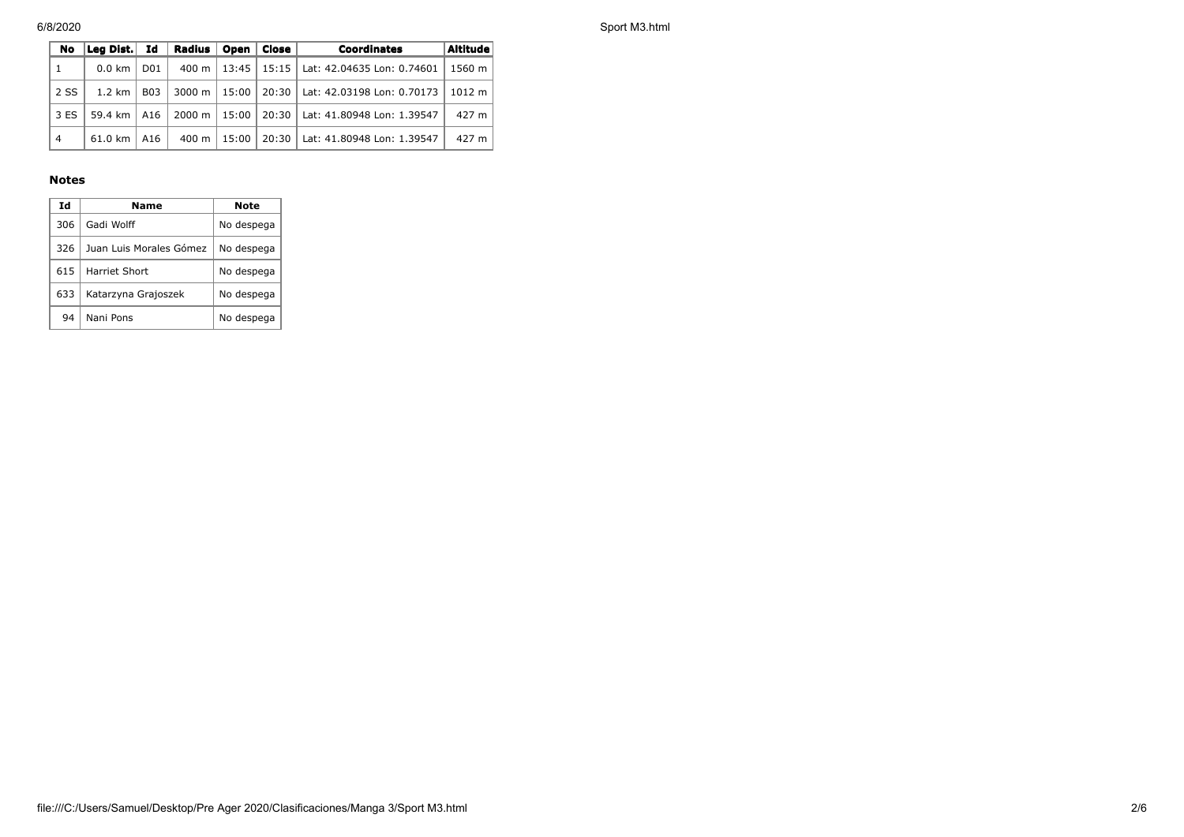6/8/2020 Sport M3.html

| No.            | Leg Dist. Id     |            | Radius   Open   Close    |       | Coordinates                                        | Altitude |
|----------------|------------------|------------|--------------------------|-------|----------------------------------------------------|----------|
| $\mathbf{1}$   | $0.0 \text{ km}$ | D01        |                          |       | 400 m   13:45   15:15   Lat: 42.04635 Lon: 0.74601 | 1560 m   |
| 2 SS           | $1.2 \text{ km}$ | <b>B03</b> | 3000 m   15:00 $\vert$   |       | 20:30   Lat: 42.03198 Lon: 0.70173                 | 1012 m   |
| 3 ES           | 59.4 km          | A16        | $2000 \text{ m}$   15:00 |       | 20:30   Lat: 41.80948 Lon: 1.39547                 | 427 m    |
| $\overline{4}$ | 61.0 km          | A16        | 400 m l                  | 15:00 | 20:30   Lat: 41.80948 Lon: 1.39547                 | 427 m    |

## **Notes**

| Ιd  | Name                    | Note       |
|-----|-------------------------|------------|
| 306 | Gadi Wolff              | No despega |
| 326 | Juan Luis Morales Gómez | No despega |
| 615 | Harriet Short           | No despega |
| 633 | Katarzyna Grajoszek     | No despega |
| 94  | Nani Pons               | No despega |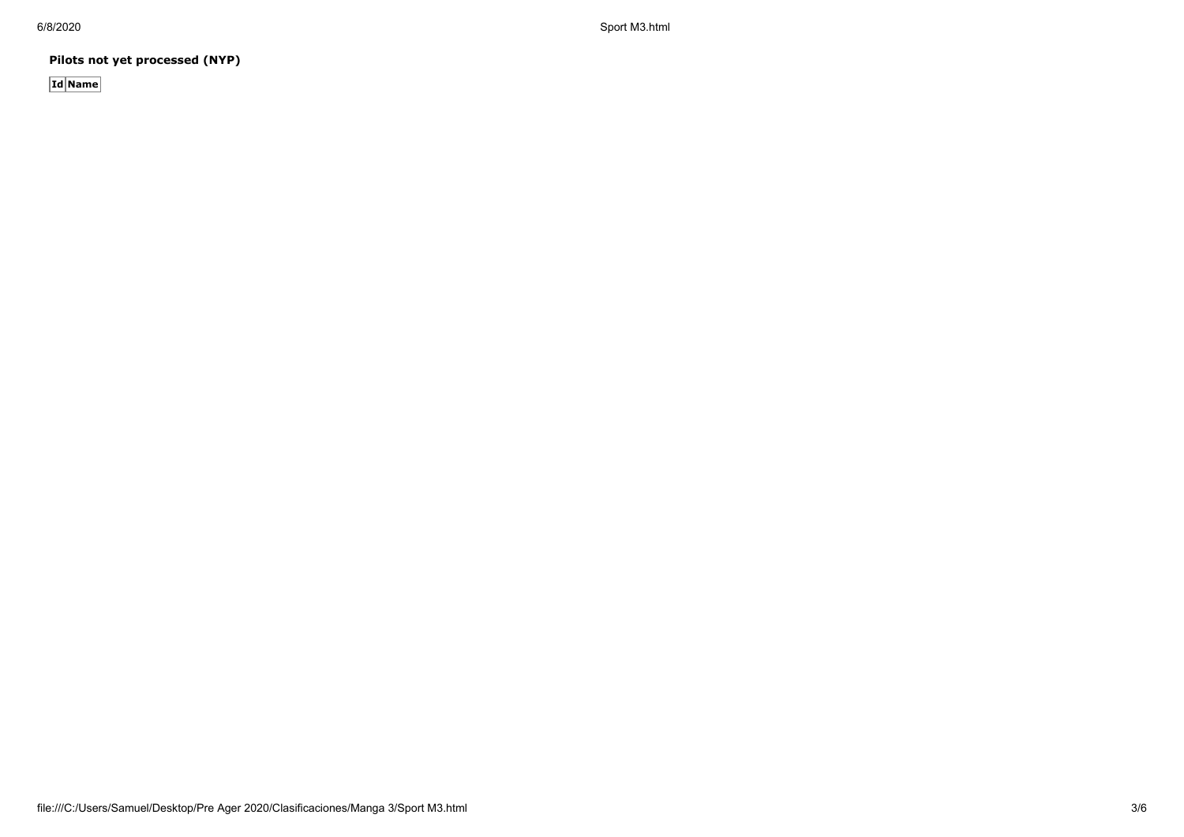6/8/2020 Sport M3.html

**Pilots not yet processed (NYP)**

**Id Name**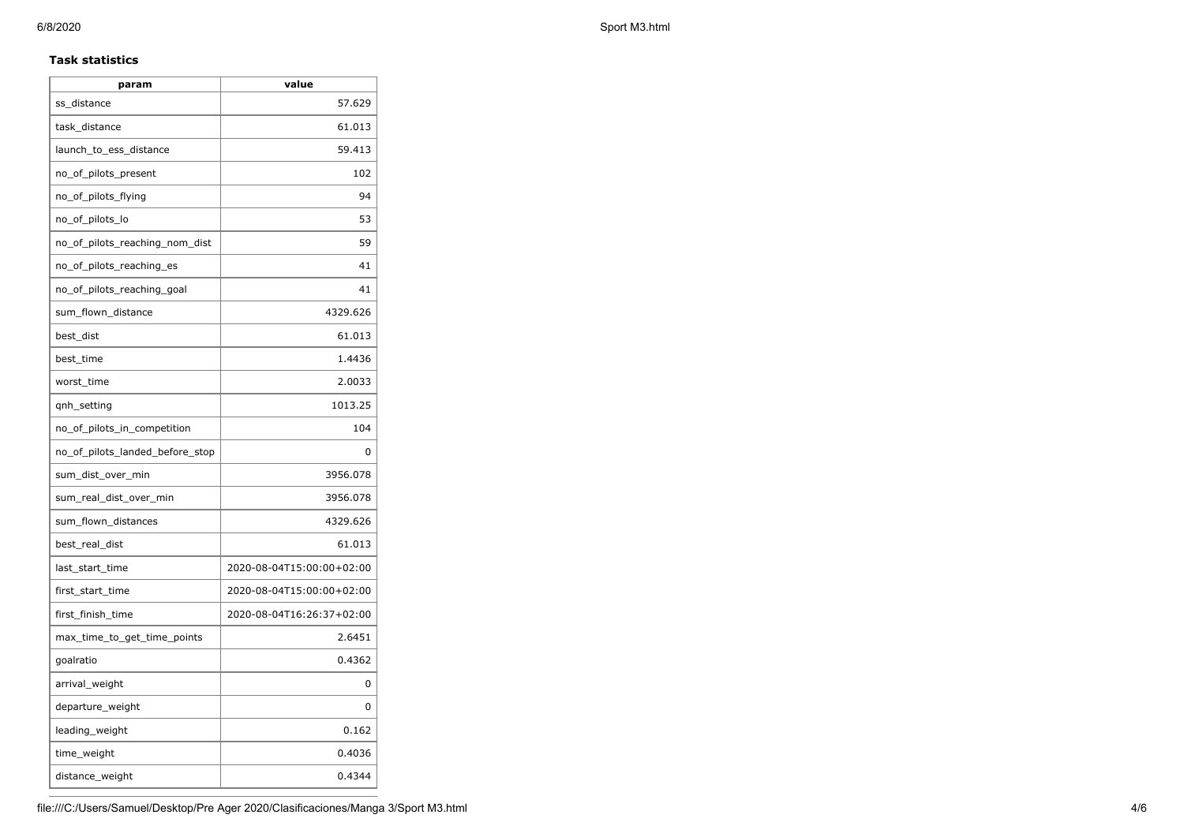## **Task statistics**

| param                           | value                     |
|---------------------------------|---------------------------|
| ss_distance                     | 57.629                    |
| task_distance                   | 61.013                    |
| launch_to_ess_distance          | 59.413                    |
| no_of_pilots_present            | 102                       |
| no_of_pilots_flying             | 94                        |
| no_of_pilots_lo                 | 53                        |
| no_of_pilots_reaching_nom_dist  | 59                        |
| no_of_pilots_reaching_es        | 41                        |
| no of pilots reaching goal      | 41                        |
| sum_flown_distance              | 4329.626                  |
| best_dist                       | 61.013                    |
| best_time                       | 1.4436                    |
| worst_time                      | 2.0033                    |
| gnh_setting                     | 1013.25                   |
| no_of_pilots_in_competition     | 104                       |
| no_of_pilots_landed_before_stop | 0                         |
| sum_dist_over_min               | 3956.078                  |
| sum_real_dist_over_min          | 3956.078                  |
| sum_flown_distances             | 4329.626                  |
| best_real_dist                  | 61.013                    |
| last_start_time                 | 2020-08-04T15:00:00+02:00 |
| first_start_time                | 2020-08-04T15:00:00+02:00 |
| first_finish_time               | 2020-08-04T16:26:37+02:00 |
| max time to get time points     | 2.6451                    |
| goalratio                       | 0.4362                    |
| arrival_weight                  | 0                         |
| departure_weight                | 0                         |
| leading_weight                  | 0.162                     |
| time_weight                     | 0.4036                    |
| distance_weight                 | 0.4344                    |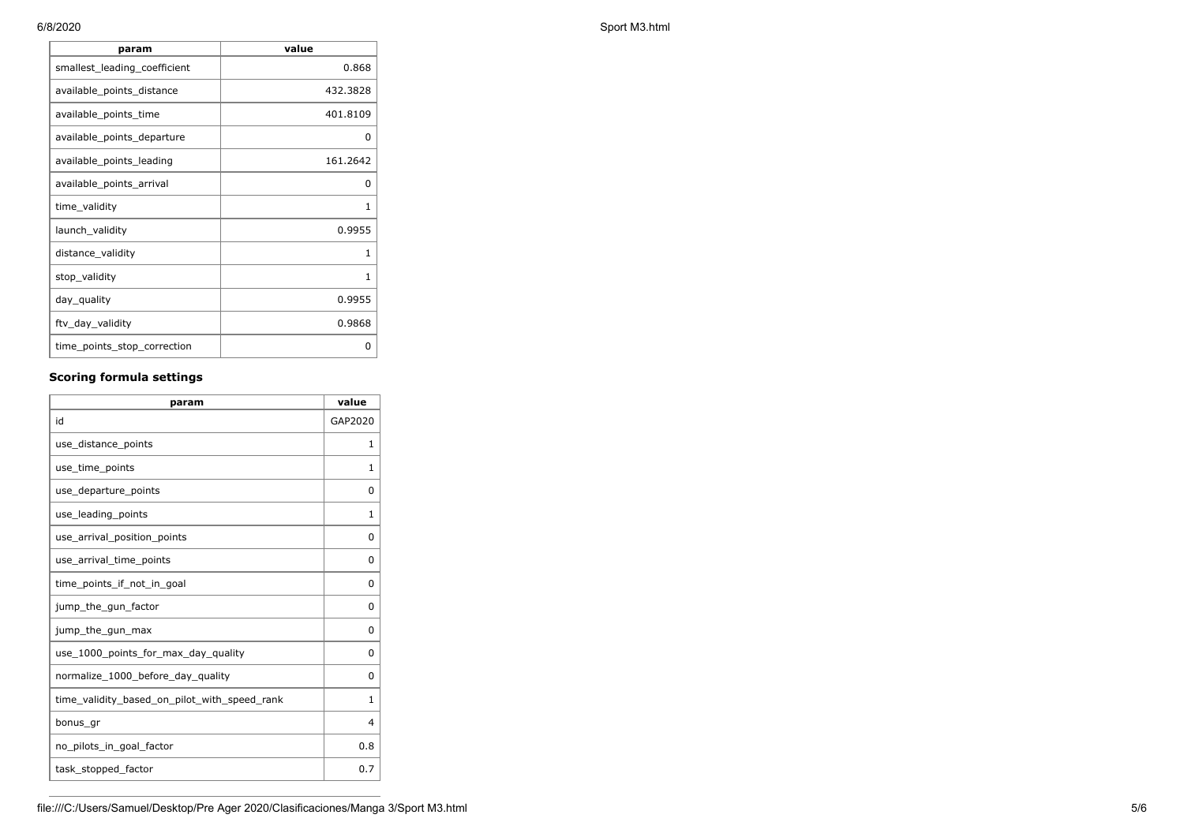| param                        | value    |
|------------------------------|----------|
| smallest_leading_coefficient | 0.868    |
| available_points_distance    | 432.3828 |
| available_points_time        | 401.8109 |
| available_points_departure   | 0        |
| available_points_leading     | 161.2642 |
| available_points_arrival     | 0        |
| time_validity                | 1        |
| launch_validity              | 0.9955   |
| distance_validity            | 1        |
| stop_validity                | 1        |
| day_quality                  | 0.9955   |
| ftv_day_validity             | 0.9868   |
| time_points_stop_correction  | 0        |

# **Scoring formula settings**

| param                                        | value       |
|----------------------------------------------|-------------|
| id                                           | GAP2020     |
| use_distance_points                          | 1           |
| use_time_points                              | 1           |
| use_departure_points                         | $\Omega$    |
| use leading points                           | 1           |
| use_arrival_position_points                  | $\mathbf 0$ |
| use_arrival_time_points                      | 0           |
| time points if not in goal                   | $\Omega$    |
| jump_the_gun_factor                          | $\Omega$    |
| jump_the_gun_max                             | 0           |
| use_1000_points_for_max_day_quality          | $\Omega$    |
| normalize_1000_before_day_quality            | 0           |
| time_validity_based_on_pilot_with_speed_rank | 1           |
| bonus_gr                                     | 4           |
| no_pilots_in_goal_factor                     | 0.8         |
| task_stopped_factor                          | 0.7         |

6/8/2020 Sport M3.html